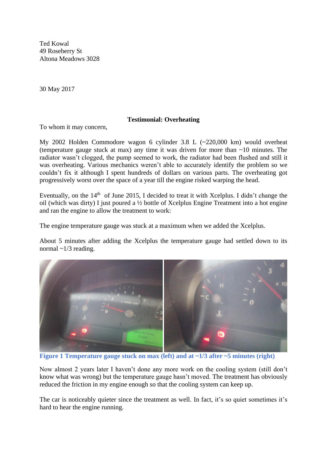Ted Kowal 49 Roseberry St Altona Meadows 3028

30 May 2017

## **Testimonial: Overheating**

To whom it may concern,

My 2002 Holden Commodore wagon 6 cylinder 3.8 L (~220,000 km) would overheat (temperature gauge stuck at max) any time it was driven for more than  $\sim 10$  minutes. The radiator wasn't clogged, the pump seemed to work, the radiator had been flushed and still it was overheating. Various mechanics weren't able to accurately identify the problem so we couldn't fix it although I spent hundreds of dollars on various parts. The overheating got progressively worst over the space of a year till the engine risked warping the head.

Eventually, on the  $14<sup>th</sup>$  of June 2015, I decided to treat it with Xcelplus. I didn't change the oil (which was dirty) I just poured a ½ bottle of Xcelplus Engine Treatment into a hot engine and ran the engine to allow the treatment to work:

The engine temperature gauge was stuck at a maximum when we added the Xcelplus.

About 5 minutes after adding the Xcelplus the temperature gauge had settled down to its normal  $\sim$ 1/3 reading.



**Figure 1 Temperature gauge stuck on max (left) and at ~1/3 after ~5 minutes (right)**

Now almost 2 years later I haven't done any more work on the cooling system (still don't know what was wrong) but the temperature gauge hasn't moved. The treatment has obviously reduced the friction in my engine enough so that the cooling system can keep up.

The car is noticeably quieter since the treatment as well. In fact, it's so quiet sometimes it's hard to hear the engine running.